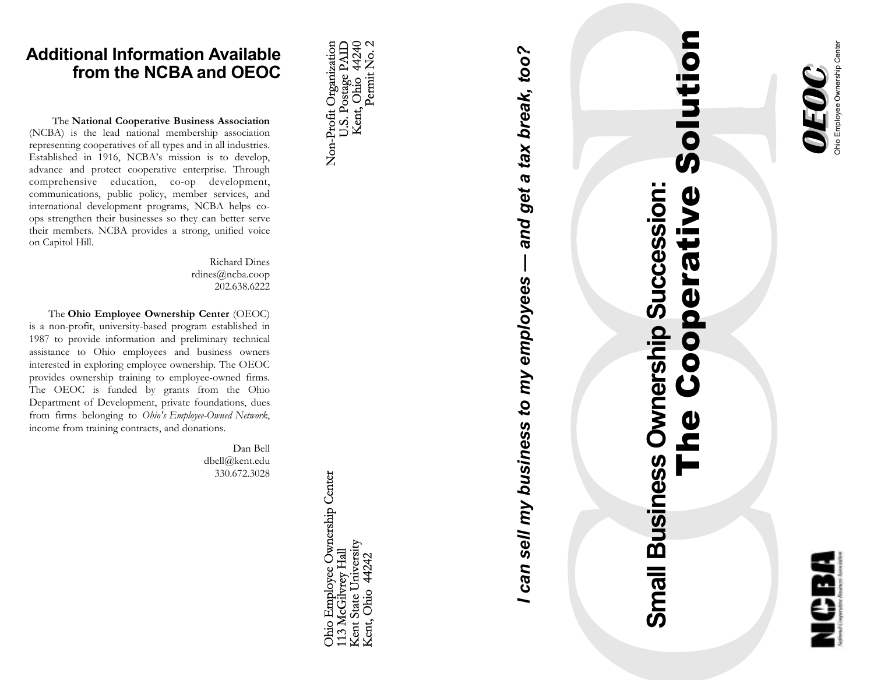

## The Cooperative Solution —<br>の **Small Business Ownership Succession: Small Business Ownership Succession:** Cooperative  $\boldsymbol{0}$

# *I can sell my business to my employees — and get a tax break, too?* and get a tax break, too? can sell my business to my employees

Non-Profit Organization<br>U.S. Postage PAID<br>Kent, Ohio 44240<br>Permit No. 2

330.672.3028

Ohio Employee Ownership Center<br>113 McGilvrey Hall Kent State University<br>Kent, Ohio 44242

interested in exploring employee ownership. The OEOC provides ownership training to employee-owned firms. The OEOC is funded by grants from the Ohio Department of Development, private foundations, dues from firms belonging to *Ohio's Employee-Owned Network*, income from training contracts, and donations. Dan Bell dbell@kent.edu

Richard Dines rdines@ncba.coop 202.638.6222

The **National Cooperative Business Association** (NCBA) is the lead national membership association representing cooperatives of all types and in all industries. Established in 1916, NCBA's mission is to develop, advance and protect cooperative enterprise. Through comprehensive education, co-op development, communications, public policy, member services, and international development programs, NCBA helps coops strengthen their businesses so they can better serve their members. NCBA provides a strong, unified voice

 The **Ohio Employee Ownership Center** (OEOC) is a non-profit, university-based program established in 1987 to provide information and preliminary technical assistance to Ohio employees and business owners

on Capitol Hill.

**Additional Information Available from the NCBA and OEOC**